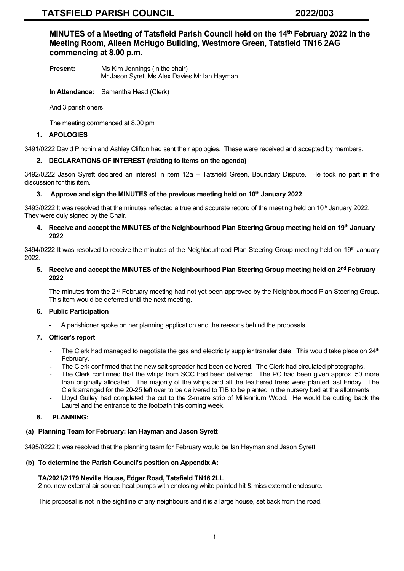**MINUTES of a Meeting of Tatsfield Parish Council held on the 14 th February 2022 in the Meeting Room, Aileen McHugo Building, Westmore Green, Tatsfield TN16 2AG commencing at 8.00 p.m.**

- **Present:** Ms Kim Jennings (in the chair) Mr Jason Syrett Ms Alex Davies Mr Ian Hayman
- **In Attendance:** Samantha Head (Clerk)

And 3 parishioners

The meeting commenced at 8.00 pm

# **1. APOLOGIES**

3491/0222 David Pinchin and Ashley Clifton had sent their apologies. These were received and accepted by members.

# **2. DECLARATIONS OF INTEREST (relating to items on the agenda)**

3492/0222 Jason Syrett declared an interest in item 12a – Tatsfield Green, Boundary Dispute. He took no part in the discussion for this item.

# **3. Approve and sign the MINUTES of the previous meeting held on 10 th January 2022**

3493/0222 It was resolved that the minutes reflected a true and accurate record of the meeting held on 10<sup>th</sup> January 2022. They were duly signed by the Chair.

# **4. Receive and accept the MINUTES of the Neighbourhood Plan Steering Group meeting held on 19th January 2022**

3494/0222 It was resolved to receive the minutes of the Neighbourhood Plan Steering Group meeting held on 19<sup>th</sup> January 2022.

# **5. Receive and accept the MINUTES of the Neighbourhood Plan Steering Group meeting held on 2nd February 2022**

The minutes from the 2<sup>nd</sup> February meeting had not yet been approved by the Neighbourhood Plan Steering Group. This item would be deferred until the next meeting.

# **6. Public Participation**

A parishioner spoke on her planning application and the reasons behind the proposals.

# **7. Officer's report**

- The Clerk had managed to negotiate the gas and electricity supplier transfer date. This would take place on  $24<sup>th</sup>$ February.
- The Clerk confirmed that the new salt spreader had been delivered. The Clerk had circulated photographs.
- The Clerk confirmed that the whips from SCC had been delivered. The PC had been given approx. 50 more than originally allocated. The majority of the whips and all the feathered trees were planted last Friday. The Clerk arranged for the 20-25 left over to be delivered to TIB to be planted in the nursery bed at the allotments.
- Lloyd Gulley had completed the cut to the 2-metre strip of Millennium Wood. He would be cutting back the Laurel and the entrance to the footpath this coming week.

# **8. PLANNING:**

# **(a) Planning Team for February: Ian Hayman and Jason Syrett**

3495/0222 It was resolved that the planning team for February would be Ian Hayman and Jason Syrett.

# **(b) To determine the Parish Council's position on Appendix A:**

# **TA/2021/2179 Neville House, Edgar Road, Tatsfield TN16 2LL**

2 no. new external air source heat pumps with enclosing white painted hit & miss external enclosure.

This proposal is not in the sightline of any neighbours and it is a large house, set back from the road.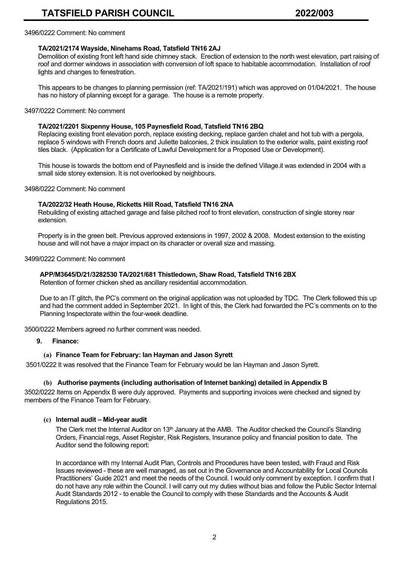#### 3496/0222 Comment: No comment

# **TA/2021/2174 Wayside, Ninehams Road, Tatsfield TN16 2AJ**

Demolition of existing front left hand side chimney stack. Erection of extension to the north west elevation, part raising of roof and dormer windows in association with conversion of loft space to habitable accommodation. Installation of roof lights and changes to fenestration.

 This appears to be changes to planning permission (ref: TA/2021/191) which was approved on 01/04/2021. The house has no history of planning except for a garage. The house is a remote property.

## 3497/0222 Comment: No comment

# **TA/2021/2201 Sixpenny House, 105 Paynesfield Road, Tatsfield TN16 2BQ**

Replacing existing front elevation porch, replace existing decking, replace garden chalet and hot tub with a pergola, replace 5 windows with French doors and Juliette balconies, 2 thick insulation to the exterior walls, paint existing roof tiles black. (Application for a Certificate of Lawful Development for a Proposed Use or Development).

 This house is towards the bottom end of Paynesfield and is inside the defined Village.it was extended in 2004 with a small side storey extension. It is not overlooked by neighbours.

3498/0222 Comment: No comment

## **TA/2022/32 Heath House, Ricketts Hill Road, Tatsfield TN16 2NA**

Rebuilding of existing attached garage and false pitched roof to front elevation, construction of single storey rear extension.

 Property is in the green belt. Previous approved extensions in 1997, 2002 & 2008. Modest extension to the existing house and will not have a major impact on its character or overall size and massing.

#### 3499/0222 Comment: No comment

# **APP/M3645/D/21/3282530 TA/2021/681 Thistledown, Shaw Road, Tatsfield TN16 2BX**

Retention of former chicken shed as ancillary residential accommodation.

 Due to an IT glitch, the PC's comment on the original application was not uploaded by TDC. The Clerk followed this up and had the comment added in September 2021. In light of this, the Clerk had forwarded the PC's comments on to the Planning Inspectorate within the four-week deadline.

3500/0222 Members agreed no further comment was needed.

#### **9. Finance:**

# **(a) Finance Team for February: Ian Hayman and Jason Syrett**

3501/0222 It was resolved that the Finance Team for February would be Ian Hayman and Jason Syrett.

# **(b) Authorise payments (including authorisation of Internet banking) detailed in Appendix B**

3502/0222 Items on Appendix B were duly approved. Payments and supporting invoices were checked and signed by members of the Finance Team for February.

# **(c) Internal audit – Mid-year audit**

The Clerk met the Internal Auditor on 13<sup>th</sup> January at the AMB. The Auditor checked the Council's Standing Orders, Financial regs, Asset Register, Risk Registers, Insurance policy and financial position to date. The Auditor send the following report:

 In accordance with my Internal Audit Plan, Controls and Procedures have been tested, with Fraud and Risk Issues reviewed - these are well managed, as set out in the Governance and Accountability for Local Councils Practitioners' Guide 2021 and meet the needs of the Council. I would only comment by exception. I confirm that I do not have any role within the Council. I will carry out my duties without bias and follow the Public Sector Internal Audit Standards 2012 - to enable the Council to comply with these Standards and the Accounts & Audit Regulations 2015.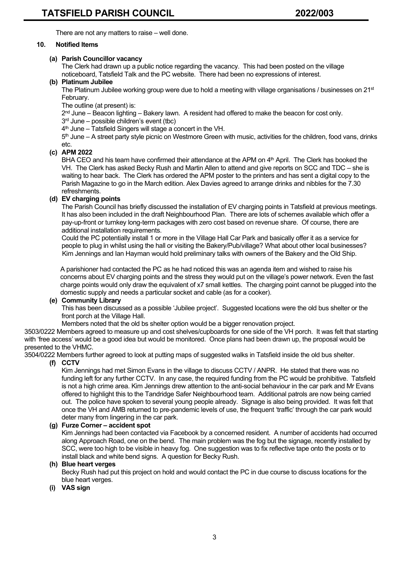There are not any matters to raise – well done.

# **10. Notified Items**

# **(a) Parish Councillor vacancy**

The Clerk had drawn up a public notice regarding the vacancy. This had been posted on the village noticeboard, Tatsfield Talk and the PC website. There had been no expressions of interest.

# **(b) Platinum Jubilee**

The Platinum Jubilee working group were due to hold a meeting with village organisations / businesses on 21<sup>st</sup> February.

The outline (at present) is:

2nd June – Beacon lighting – Bakery lawn. A resident had offered to make the beacon for cost only.

3 rd June – possible children's event (tbc)

4 th June – Tatsfield Singers will stage a concert in the VH.

5 th June – A street party style picnic on Westmore Green with music, activities for the children, food vans, drinks etc.

# **(c) APM 2022**

BHA CEO and his team have confirmed their attendance at the APM on 4 th April. The Clerk has booked the VH. The Clerk has asked Becky Rush and Martin Allen to attend and give reports on SCC and TDC – she is waiting to hear back. The Clerk has ordered the APM poster to the printers and has sent a digital copy to the Parish Magazine to go in the March edition. Alex Davies agreed to arrange drinks and nibbles for the 7.30 refreshments.

# **(d) EV charging points**

The Parish Council has briefly discussed the installation of EV charging points in Tatsfield at previous meetings. It has also been included in the draft Neighbourhood Plan. There are lots of schemes available which offer a pay-up-front or turnkey long-term packages with zero cost based on revenue share. Of course, there are additional installation requirements.

Could the PC potentially install 1 or more in the Village Hall Car Park and basically offer it as a service for people to plug in whilst using the hall or visiting the Bakery/Pub/village? What about other local businesses? Kim Jennings and Ian Hayman would hold preliminary talks with owners of the Bakery and the Old Ship.

 A parishioner had contacted the PC as he had noticed this was an agenda item and wished to raise his concerns about EV charging points and the stress they would put on the village's power network. Even the fast charge points would only draw the equivalent of x7 small kettles. The charging point cannot be plugged into the domestic supply and needs a particular socket and cable (as for a cooker).

# **(e) Community Library**

This has been discussed as a possible 'Jubilee project'. Suggested locations were the old bus shelter or the front porch at the Village Hall.

Members noted that the old bs shelter option would be a bigger renovation project.

3503/0222 Members agreed to measure up and cost shelves/cupboards for one side of the VH porch. It was felt that starting with 'free access' would be a good idea but would be monitored. Once plans had been drawn up, the proposal would be presented to the VHMC.

3504/0222 Members further agreed to look at putting maps of suggested walks in Tatsfield inside the old bus shelter.

# **(f) CCTV**

Kim Jennings had met Simon Evans in the village to discuss CCTV / ANPR. He stated that there was no funding left for any further CCTV. In any case, the required funding from the PC would be prohibitive. Tatsfield is not a high crime area. Kim Jennings drew attention to the anti-social behaviour in the car park and Mr Evans offered to highlight this to the Tandridge Safer Neighbourhood team. Additional patrols are now being carried out. The police have spoken to several young people already. Signage is also being provided. It was felt that once the VH and AMB returned to pre-pandemic levels of use, the frequent 'traffic' through the car park would deter many from lingering in the car park.

# **(g) Furze Corner – accident spot**

Kim Jennings had been contacted via Facebook by a concerned resident. A number of accidents had occurred along Approach Road, one on the bend. The main problem was the fog but the signage, recently installed by SCC, were too high to be visible in heavy fog. One suggestion was to fix reflective tape onto the posts or to install black and white bend signs. A question for Becky Rush.

# **(h) Blue heart verges**

Becky Rush had put this project on hold and would contact the PC in due course to discuss locations for the blue heart verges.

**(i) VAS sign**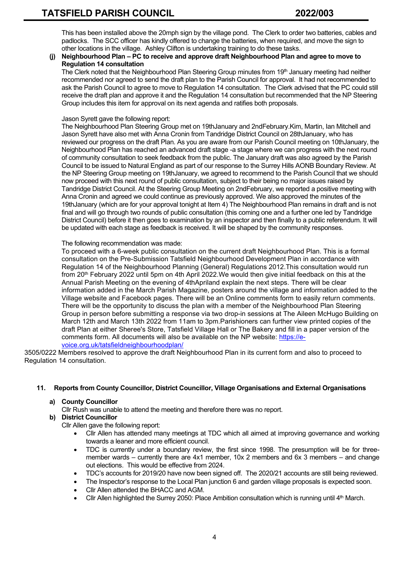This has been installed above the 20mph sign by the village pond. The Clerk to order two batteries, cables and padlocks. The SCC officer has kindly offered to change the batteries, when required, and move the sign to other locations in the village. Ashley Clifton is undertaking training to do these tasks.

## **(j) Neighbourhood Plan – PC to receive and approve draft Neighbourhood Plan and agree to move to Regulation 14 consultation**

The Clerk noted that the Neighbourhood Plan Steering Group minutes from  $19<sup>th</sup>$  January meeting had neither recommended nor agreed to send the draft plan to the Parish Council for approval. It had not recommended to ask the Parish Council to agree to move to Regulation 14 consultation. The Clerk advised that the PC could still receive the draft plan and approve it and the Regulation 14 consultation but recommended that the NP Steering Group includes this item for approval on its next agenda and ratifies both proposals.

## Jason Syrett gave the following report:

The Neighbourhood Plan Steering Group met on 19thJanuary and 2ndFebruary.Kim, Martin, Ian Mitchell and Jason Syrett have also met with Anna Cronin from Tandridge District Council on 28thJanuary, who has reviewed our progress on the draft Plan. As you are aware from our Parish Council meeting on 10thJanuary, the Neighbourhood Plan has reached an advanced draft stage -a stage where we can progress with the next round of community consultation to seek feedback from the public. The January draft was also agreed by the Parish Council to be issued to Natural England as part of our response to the Surrey Hills AONB Boundary Review. At the NP Steering Group meeting on 19thJanuary, we agreed to recommend to the Parish Council that we should now proceed with this next round of public consultation, subject to their being no major issues raised by Tandridge District Council. At the Steering Group Meeting on 2ndFebruary, we reported a positive meeting with Anna Cronin and agreed we could continue as previously approved. We also approved the minutes of the 19thJanuary (which are for your approval tonight at Item 4) The Neighbourhood Plan remains in draft and is not final and will go through two rounds of public consultation (this coming one and a further one led by Tandridge District Council) before it then goes to examination by an inspector and then finally to a public referendum. It will be updated with each stage as feedback is received. It will be shaped by the community responses.

## The following recommendation was made:

To proceed with a 6-week public consultation on the current draft Neighbourhood Plan. This is a formal consultation on the Pre-Submission Tatsfield Neighbourhood Development Plan in accordance with Regulation 14 of the Neighbourhood Planning (General) Regulations 2012.This consultation would run from 20th February 2022 until 5pm on 4th April 2022.We would then give initial feedback on this at the Annual Parish Meeting on the evening of 4thApriland explain the next steps. There will be clear information added in the March Parish Magazine, posters around the village and information added to the Village website and Facebook pages. There will be an Online comments form to easily return comments. There will be the opportunity to discuss the plan with a member of the Neighbourhood Plan Steering Group in person before submitting a response via two drop-in sessions at The Aileen McHugo Building on March 12th and March 13th 2022 from 11am to 3pm.Parishioners can further view printed copies of the draft Plan at either Sheree's Store, Tatsfield Village Hall or The Bakery and fill in a paper version of the comments form. All documents will also be available on the NP website: [https://e](https://e-voice.org.uk/tatsfieldneighbourhoodplan/)[voice.org.uk/tatsfieldneighbourhoodplan/](https://e-voice.org.uk/tatsfieldneighbourhoodplan/)

3505/0222 Members resolved to approve the draft Neighbourhood Plan in its current form and also to proceed to Regulation 14 consultation.

# **11. Reports from County Councillor, District Councillor, Village Organisations and External Organisations**

# **a) County Councillor**

Cllr Rush was unable to attend the meeting and therefore there was no report.

# **b) District Councillor**

Cllr Allen gave the following report:

- Cllr Allen has attended many meetings at TDC which all aimed at improving governance and working towards a leaner and more efficient council.
- TDC is currently under a boundary review, the first since 1998. The presumption will be for threemember wards – currently there are 4x1 member, 10x 2 members and 6x 3 members – and change out elections. This would be effective from 2024.
- TDC's accounts for 2019/20 have now been signed off. The 2020/21 accounts are still being reviewed.
- The Inspector's response to the Local Plan junction 6 and garden village proposals is expected soon.
- Cllr Allen attended the BHACC and AGM.
- Cllr Allen highlighted the Surrey 2050: Place Ambition consultation which is running until  $4<sup>th</sup>$  March.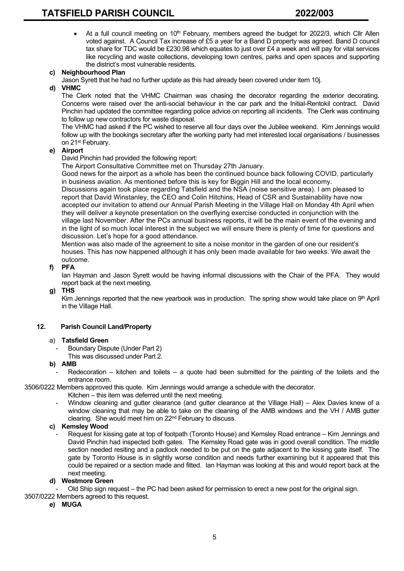At a full council meeting on  $10<sup>th</sup>$  February, members agreed the budget for 2022/3, which Cllr Allen voted against. A Council Tax increase of £5 a year for a Band D property was agreed. Band D council tax share for TDC would be £230.98 which equates to just over £4 a week and will pay for vital services like recycling and waste collections, developing town centres, parks and open spaces and supporting the district's most vulnerable residents.

# **c) Neighbourhood Plan**

Jason Syrett that he had no further update as this had already been covered under item 10j.

# **d) VHMC**

The Clerk noted that the VHMC Chairman was chasing the decorator regarding the exterior decorating. Concerns were raised over the anti-social behaviour in the car park and the Initial-Rentokil contract. David Pinchin had updated the committee regarding police advice on reporting all incidents. The Clerk was continuing to follow up new contractors for waste disposal.

The VHMC had asked if the PC wished to reserve all four days over the Jubilee weekend. Kim Jennings would follow up with the bookings secretary after the working party had met interested local organisations / businesses on 21<sup>st</sup> February.

# **e) Airport**

David Pinchin had provided the following report:

The Airport Consultative Committee met on Thursday 27th January.

Good news for the airport as a whole has been the continued bounce back following COVID, particularly in business aviation. As mentioned before this is key for Biggin Hill and the local economy.

Discussions again took place regarding Tatsfield and the NSA (noise sensitive area). I am pleased to report that David Winstanley, the CEO and Colin Hitchins, Head of CSR and Sustainability have now accepted our invitation to attend our Annual Parish Meeting in the Village Hall on Monday 4th April when they will deliver a keynote presentation on the overflying exercise conducted in conjunction with the village last November. After the PCs annual business reports, it will be the main event of the evening and in the light of so much local interest in the subject we will ensure there is plenty of time for questions and discussion. Let's hope for a good attendance.

Mention was also made of the agreement to site a noise monitor in the garden of one our resident's houses. This has now happened although it has only been made available for two weeks. We await the outcome.

# **f) PFA**

Ian Hayman and Jason Syrett would be having informal discussions with the Chair of the PFA. They would report back at the next meeting.

**g) THS**

Kim Jennings reported that the new yearbook was in production. The spring show would take place on 9<sup>th</sup> April in the Village Hall.

# **12. Parish Council Land/Property**

# a) **Tatsfield Green**

- Boundary Dispute (Under Part 2)
- This was discussed under Part 2.

# **b) AMB**

 $R$ edecoration – kitchen and toilets – a quote had been submitted for the painting of the toilets and the entrance room.

3506/0222 Members approved this quote. Kim Jennings would arrange a schedule with the decorator.

- Kitchen this item was deferred until the next meeting.
- Window cleaning and gutter clearance (and gutter clearance at the Village Hall) Alex Davies knew of a window cleaning that may be able to take on the cleaning of the AMB windows and the VH / AMB gutter clearing. She would meet him on 22nd February to discuss.

# **c) Kemsley Wood**

Request for kissing gate at top of footpath (Toronto House) and Kemsley Road entrance – Kim Jennings and David Pinchin had inspected both gates. The Kemsley Road gate was in good overall condition. The middle section needed resiting and a padlock needed to be put on the gate adjacent to the kissing gate itself. The gate by Toronto House is in slightly worse condition and needs further examining but it appeared that this could be repaired or a section made and fitted. Ian Hayman was looking at this and would report back at the next meeting.

# **d) Westmore Green**

Old Ship sign request – the PC had been asked for permission to erect a new post for the original sign.

- 3507/0222 Members agreed to this request.
	- **e) MUGA**